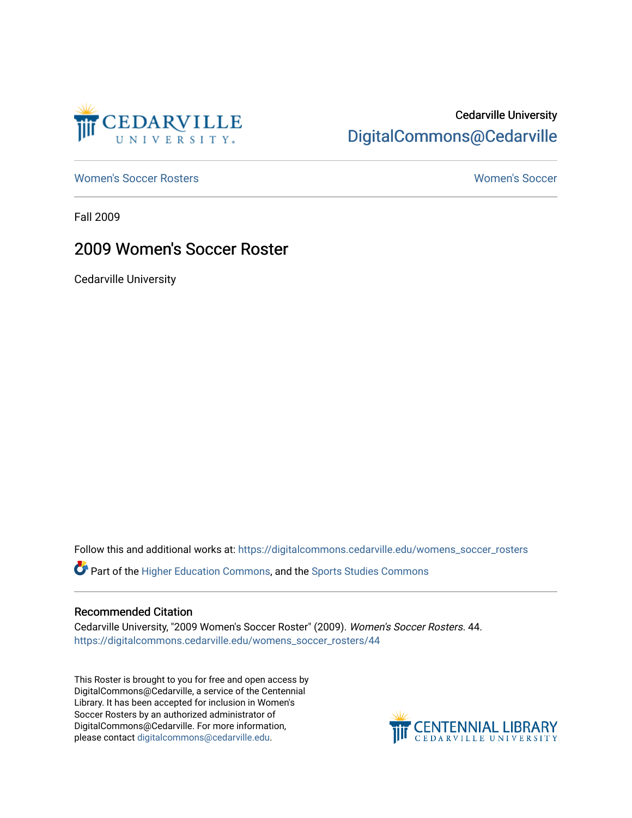

## Cedarville University [DigitalCommons@Cedarville](https://digitalcommons.cedarville.edu/)

[Women's Soccer Rosters](https://digitalcommons.cedarville.edu/womens_soccer_rosters) [Women's Soccer](https://digitalcommons.cedarville.edu/womens_soccer) 

Fall 2009

### 2009 Women's Soccer Roster

Cedarville University

Follow this and additional works at: [https://digitalcommons.cedarville.edu/womens\\_soccer\\_rosters](https://digitalcommons.cedarville.edu/womens_soccer_rosters?utm_source=digitalcommons.cedarville.edu%2Fwomens_soccer_rosters%2F44&utm_medium=PDF&utm_campaign=PDFCoverPages) 

Part of the [Higher Education Commons,](http://network.bepress.com/hgg/discipline/1245?utm_source=digitalcommons.cedarville.edu%2Fwomens_soccer_rosters%2F44&utm_medium=PDF&utm_campaign=PDFCoverPages) and the [Sports Studies Commons](http://network.bepress.com/hgg/discipline/1198?utm_source=digitalcommons.cedarville.edu%2Fwomens_soccer_rosters%2F44&utm_medium=PDF&utm_campaign=PDFCoverPages) 

#### Recommended Citation

Cedarville University, "2009 Women's Soccer Roster" (2009). Women's Soccer Rosters. 44. [https://digitalcommons.cedarville.edu/womens\\_soccer\\_rosters/44](https://digitalcommons.cedarville.edu/womens_soccer_rosters/44?utm_source=digitalcommons.cedarville.edu%2Fwomens_soccer_rosters%2F44&utm_medium=PDF&utm_campaign=PDFCoverPages)

This Roster is brought to you for free and open access by DigitalCommons@Cedarville, a service of the Centennial Library. It has been accepted for inclusion in Women's Soccer Rosters by an authorized administrator of DigitalCommons@Cedarville. For more information, please contact [digitalcommons@cedarville.edu](mailto:digitalcommons@cedarville.edu).